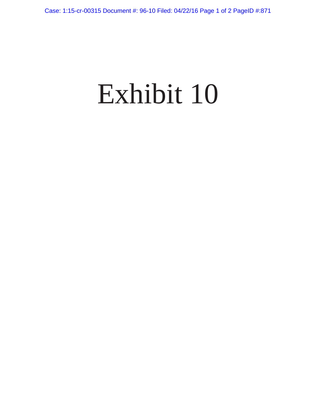## Exhibit 10